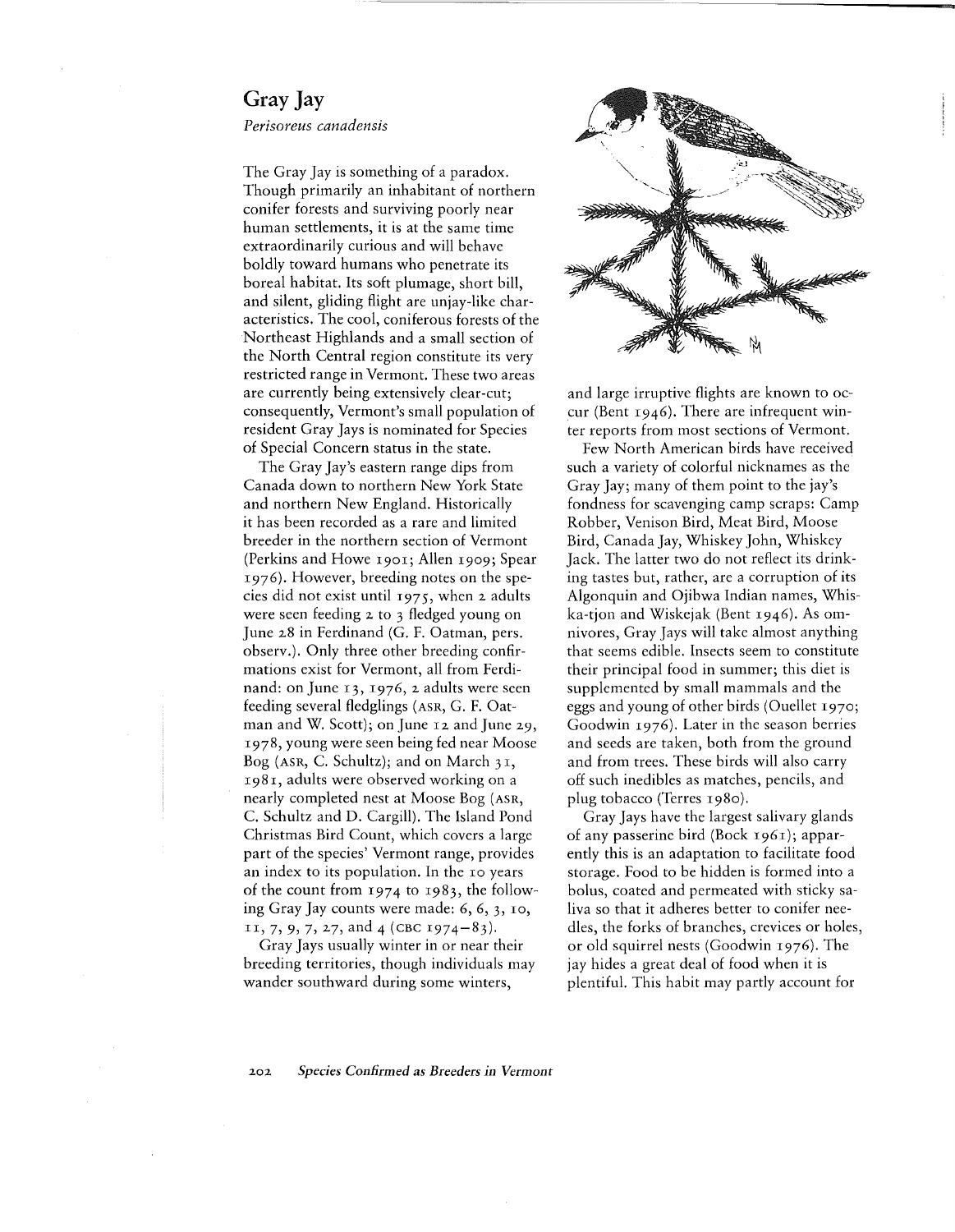## Gray Jay

*Perisoreus canadensis*

The Gray Jay is something of a paradox. Though primarily an inhabitant of northern conifer forests and surviving poorly near human settlements, it is at the same time extraordinarily curious and will behave boldly toward humans who penetrate its boreal habitat. Its soft plumage, short bill, and silent, gliding flight are unjay-like characteristics. The cool, coniferous forests of the Northeast Highlands and a small section of the North Central region constitute its very restricted range in Vermont. These two areas are currently being extensively clear-cut; consequently, Vermont's small population of resident Gray Jays is nominated for Species of Special Concern status in the state.

The Gray Jay's eastern range dips from Canada down to northern New York State and northern New England. Historically it has been recorded as a rare and limited breeder in the northern section of Vermont (Perkins and Howe 1901; Allen 1909; Spear 1976). However, breeding notes on the species did not exist until 1975, when 2 adults were seen feeding 2 to 3 fledged young on June 28 in Ferdinand (G. F. Oatman, pers. observ.). Only three other breeding confirmations exist for Vermont, all from Ferdinand: on June 13, 1976, 2 adults were seen feeding several fledglings (ASR, G. F. Oatman and W. Scott); on June 12 and June 29, 1978, young were seen being fed near Moose Bog (ASR, C. Schultz); and on March  $31$ , 198 I, adults were observed working on a nearly completed nest at Moose Bog (ASR, C. Schultz and D. Cargill). The Island Pond Christmas Bird Count, which covers a large part of the species' Vermont range, provides an index to its population. In the 10 years of the count from 1974 to 1983, the following Gray Jay counts were made: 6,6,3,10, 11, 7, 9, 7, 27, and 4 (CBC 1974-83).

Gray Jays usually winter in or near their breeding territories, though individuals may wander southward during some winters,



and large irruptive flights are known to occur (Bent 1946). There are infrequent winter reports from most sections of Vermont.

Few North American birds have received such a variety of colorful nicknames as the Gray Jay; many of them point to the jay's fondness for scavenging camp scraps: Camp Robber, Venison Bird, Meat Bird, Moose Bird, Canada Jay, Whiskey John, Whiskey Jack. The latter two do not reflect its drinking tastes but, rather, are a corruption of its Algonquin and Ojibwa Indian names, Whiska-tjon and Wiskejak (Bent 1946). As omnivores, Gray Jays will take almost anything that seems edible. Insects seem to constitute their principal food in summer; this diet is supplemented by small mammals and the eggs and young of other birds (Ouellet 1970; Goodwin 1976). Later in the season berries and seeds are taken, both from the ground and from trees. These birds will also carry off such inedibles as matches, pencils, and plug tobacco (Terres 1980).

Gray Jays have the largest salivary glands of any passerine bird (Bock 1961); apparently this is an adaptation to facilitate food storage. Food to be hidden is formed into a bolus, coated and permeated with sticky saliva so that it adheres better to conifer needles, the forks of branches, crevices or holes, or old squirrel nests (Goodwin 1976). The jay hides a great deal of food when it is plentiful. This habit may partly account for

## *202 Species Confirmed* as *Breeders in Vermont*